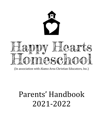



(In association with Alamo Area Christian Educators, Inc.)

# Parents' Handbook 2021-2022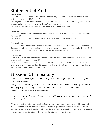# Statement of Faith

#### Jesus-based

"For God so loved the world that he gave his one and only Son, that whoever believes in him shall not perish but have eternal life." - John 3:16

"For by grace you have been saved through faith; and that not of yourselves, it is the gift of God; not as a result of works, so that no one may boast." Ephesians 2:8-9

We believe there is only one way to Heaven and that is through Jesus Christ.

#### Family-based

"That is why a man leaves his father and mother and is united to his wife, and they become one flesh." Genesis 2:24

We believe that God created the sanctity of marriage between a man and a woman.

#### Creation-based

"Thus the heavens and the earth were completed in all their vast array. By the seventh day God had finished the work he had been doing; so on the seventh day he rested from all his work." Genesis 2:1-2 We believe that God created everything in six days and rested on the seventh.

#### Child-focused

Jesus said, "Let the little children come to me, and do not hinder them, for the kingdom of heaven belongs to such as these." Matthew. 19-14

We want your children to understand that they are each one of God's unique creations. Each child is one-of-a-kind and was placed on this beautiful earth at precisely the right time – chosen by God to fulfill His specific purpose for that child's life.

# Mission & Philosophy

Creation-based by using God's creation to grow and nurture young minds in a small-group learning environment.

Family-based by choosing to preserve childhood and foster a love of learning by partnering and equipping parents to give their children the education they want and need. Christ-based because He is all that matters.

"Love the Lord your God with all your heart and with all your soul and with all your strength." *Deuteronomy 6:5*

We believe at the end of our lives that God will care more about how we loved Him and others than at what age we learned to read at a certain grade level or how high we scored on the SAT. However, we are also called to be good stewards of what He has given us, so we believe in developing a child's mind in the way God designed that child to be.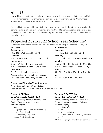# About Us

Happy Hearts is neither a school nor a co-op. Happy Hearts is a small, faith-based, childfocused, homeschool enrichment program taught by tutors from Alamo Area Christian Educators, Inc., which is a non-profit 501-C3 organization.

Our goal is to partner with parents in the education of their children thereby replacing the parents' feelings of being overwhelmed and frustrated to homeschool on their own with a renewed assurance that they can successfully and happily educate their own children with some help from us.

### Proposed 2021-2022 School Year Schedule\*

\*Schedule is subject to change due to unforeseen situations *(i.e.: weather, Covid, etc.)*

| <b>Fall Dates:</b>                           | <b>Spring Dates:</b>                         |
|----------------------------------------------|----------------------------------------------|
| September-                                   | January $-$                                  |
| 14th, 16th, 21st, 23rd, 28th, 30th           | 11th, 13th, 18th, 20th, 25th, 27th           |
| October -                                    | February $-$                                 |
| 5th, 7th, 12th, 14th, 19th, 21st, 26th, 28th | 1st, 3rd, 8th, 10th, 15th, 17th, 22nd, 24th  |
| November-                                    | March $-$                                    |
| 2nd, 4th, 9th, 11th, 16th, 18th, 30th        | 1st, 3rd, 8th, 10th, 22nd, 24th, 29th, 31st  |
| (Off for Thanksgiving Nov. 23rd & 25th)      | (Off for Spring Break Mar 15th & 17th)       |
| December-                                    | April-                                       |
| 2nd, 7th, 9th, 14th, 16th (we end on         | 5th, 7th, 12th, 14th, 19th, 21st, 26th, 28th |
| Tuesday, Dec 16th) Christmas Holidays:       | $May -$                                      |
| Dec 21st, 23rd, 28th, 30th, Jan 4th & 6th    | 3rd, 5th, 10th, 12th, 17th, 19th             |
|                                              |                                              |

### Tuesday and Thursday Time Schedules All grades meet from 9:30 am – 2:30 pm

Drop-off begins at 9:25am, and pick-up begins at 2:25pm.

### Tuesday CORE Day

### *Sample Schedule (PreK4 – 2nd)*

Morning Meeting *(Prayer, Character, Bible, Pledge, Phonemic Awareness, Calendar, Fantastic Fingers)*

- 1. Math
- 2. Language Arts/Reading or Pre-reading
- 3. History Read Aloud
- 4. US Geography/Map Skills
- 5. Nature Study/Handicraft

### Thursday ELECTIVE Day *Sample Schedule (PreK4 - 2nd)*

Morning Meeting *(Prayer, Character, Bible, Pledge, Phonemic Awareness, Calendar, Fantastic Fingers)*

- 1. "Show & Tell"
- 2. Art
- 3. Science & Science Lab
- 4. History Read Aloud/History Activities
- 5. PE

*(Math & Language Arts extension lesson as needed)*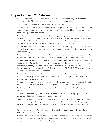### **Expectations & Policies**

- We love Jesus and will teach about Him in a non-denominational way, which means we stick to what the Bible says and do not push any certain denomination.
- We LOVE God's creation and believe we should take care of it.
- We realize God has created each one of us (including our children) in a special, unique way. None of us are exactly alike, so our mission is to appreciate our children's learning differences, strengths, and weaknesses.
- We believe in open communication and ask that you, the parents, communicate with the instructors or program creator directly and not gossip or use slanderous language if a disagreement should arise. If a miscommunication occurs, which at some point may happen, we will strive to right the miscommunication as soon as possible.
- We trust our instructors' skills and years of experience, which is why our own children are a part of this program; therefore, we will let the instructors have the freedom to teach as they deem necessary.
- We are not a school, but we are a private instructor share, which means we have the ability to keep our groups small and teach in a specific and intentional way for each child.
- We **REQUIRE** families to be involved in their children's education. If this involvement is not something your family desires, please reconsider whether this program is an appropriate match for your family's lifestyle. This method will not work if both parents work fulltime *without* other help in the home. This instructor share SHOULD NOT be expected to replace all the work to be done at home.
- We are not competing against or comparing your children to broad-based expectations that are set by the pubic school system. We do believe we will help prepare your children at an appropriate learning rate.
- We want to develop independent, creative, self-disciplined, caring, kind, responsible, and motivated children who are leaders in their generation and not merely followers.
- All children participating in the Happy Hearts Homeschool program MUST be pottytrained.
- All children participating in Happy Hearts Homeschool and their siblings, parents, caretakers are asked to respect the property and not be destructive.
- Once-a-month Parental Volunteering may be required for classes that require extra adult supervision or help with setup or cleanup. Sign-ups will be available at the beginning of each month. A caretaker (over the age of 18) can also fill this requirement if a parent is unavailable.
- One parent or caretaker (over the age of 18) is required to accompany his/her child on any field trips or special outings.
- If anyone other than the parent or legal guardian comes to pick up a child for the parent or legal guardian, he/she MUST be named as an alternate pickup on the registration form and will be asked to present a valid driver's license.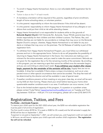- To enroll in Happy Hearts Homeschool, there is a non-refundable \$200 registration fee for the year.
- Tuition is due on the  $1<sup>st</sup>$  of each month.
- A mandatory orientation will be required of ALL parents, regardless of prior enrollment, length of home schooling status, or volunteer position.
- It is the parents' responsibility to inform the tutor/director if the child will be absent.
- It is the parents' responsibility to inform Happy Hearts Homeschool of any allergies or conditions that could put their child at risk while attending classes.
- Happy Hearts Homeschool is not responsible for students while on the grounds of Bulverde Baptist Church (1331 Bulverde Rd., Bulverde, Texas 78163); parents bear the ultimate responsibility for their children and their children's actions. The Palmer, Ras, and McMinn families are not liable for any accidents or mishaps that may occur on the Bulverde Baptist Church's campus. Likewise, Happy Hearts Homeschool is not liable for any accidents or mishaps that may occur on the premises. The full Release of Liability is part of the registration form.
- To withdraw from Happy Hearts Homeschool Program, you must follow our withdrawal process and turn in the appropriate forms. Failure to do so will jeopardize the possibility of returning to Happy Hearts Homeschool in the future. Our instructors are making a commitment for the entire semester, and you need to make the same commitment. Refunds are not given for the registration fee or for the remaining months of the semester. By enrolling in this program, you are reserving a spot that cannot be refilled once the semester begins, and you are committing to attend each week. If you withdraw your student after classes begin, payment for the remainder of the semester will be due. Supply fees are not refundable. A drop fee is available if there arises a unique circumstance, such as an unexpected move or other special circumstance that cannot be avoided. The drop fee total will be determined by the director and will be available in case of special need.
- If weather conditions prevent us from meeting on any given class day, an email will be sent out by 8:00 am that morning. Please check your email before leaving your home when questionable weather conditions exist in our area. If notification can occur sooner, it will.
- Due to the limited student capacity of this program, if a question or a problem arises please contact Trudy Palmer happyheartsschoolhouse@gmail.com on Tuesday and Thursday between 10:00 am – 4:00 pm. If it is an emergency, please call or text (210) 364-5179.

# Registration, Tuition, and Fees

### Pre-Kinder – 2nd Grade Program:

To reserve your child's spot for the 2021-2022 school year, the \$200 non-refundable registration fee must be paid in full at time of registration.

The first month's tuition (\$190 for 1X a week or \$380 for 2X a week) and the fall semester's supply fee (\$150) will be due on September 1, 2021.

If payment is not paid on September 1, 2021, we will contact you, and if payment is still not made within 48 hours, we will have to replace your child's spot with another child's registration. *The registration fee will not be refunded.*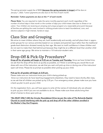The spring semester supply fee of \$200 (because the spring semester is longer) will be due on January 1, 2022. Tuition payments are also due on the first of each month.

#### *Reminder: Tuition payments are due on the 1st of each month.*

*Please Note: You are required to make the same monthly payment each month regardless of the number of school days in that month or the number of days your child misses class due to illness or vacation. Your children are receiving an amazing and unique program at a reasonable price point because all families are splitting the costs involved in utilizing private tutors to teach foundational, core, and elective subjects in high-interest, hands-on ways.* 

### Class Size and Grouping

We strive to meet children where they are, both academically and socially, and will place them in appropriate groups for our various activities based on our analysis and parental input rather than the traditional grade-level distinction dictated merely by their age. We want to instill confidence in these children and do not want to make them feel behind just because they might be at a different level than another child in their same age group. We strive to maintain a 1:8 instructor-student ratio.

# Drop-Off & Pick-Up Procedures\*

Drop-off for all grades will begin at 9:25 am on Tuesday and Thursday. Since we have limited time, we ask that the drop-off be done as quickly as possible, so if there is something you would like to address with one of the instructors, we ask that you wait until pick-up time or during one of the instructors' open-call times. Please be as prompt as possible when picking up your child.

#### Pick-up for all grades will begin at 2:25 pm.

Please make sure our instructors know your child is being picked-up.

Since our instructors do have teaching engagements elsewhere, they need to leave shortly after class, so we ask that all children are picked up by 2:35 pm. If an emergency arises, please make sure you have a back-up plan to pick up your child.

On the registration form, you will have space to write all the names of individuals who are allowed to pick up your child if you are not available to do so. Please make sure these adults bring their driver's license to show upon pick-up.

\*We MUST ONLY USE the Circular Roundabout Drive (as per the rules of The Bulverde Baptist Church) to avoid interfering with the pick up and drop off of the other children enrolled in the Mother's Day Out Program.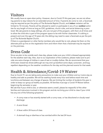# Visitors

We usually have an open-door policy. However, due to Covid-19 this past year, we are not allowing parents to stay indoors for an extended amount of time. If parents do come to visit, a facemask may be required as per the policy of The Bulverde Baptist Church, and *indoor* visitation will be limited to 10 minutes. Parents will be allowed to watch or participate in any of our *outdoor* activities for any length of time as long as CDC guidelines, church rules, and social distancing is practiced. We ask parents to keep siblings, who are not part of the program, with them at all times and to allow the child who is part of the program space to be with his/her classmates. If a sibling is present and over the age of 10 years old, the sibling may need to wear a facemask as per the policy of The Bulverde Baptist Church.

If there is a grandparent or other family members who would like to visit, please list them on the alternate pick-up line on the registration form and inform them that a facemask may be required on the premises.

# Dress Code

Since we plan to be outside each class day, please make sure your child is dressed appropriately for the weather each day. Also, due to our exploration of the outdoors, please make sure to provide one extra change of clothes in case of wet or muddy clothes. We do recommend that your child wear closed-toe shoes (although we may end up barefoot some days), sunscreen, and bug repellant depending on the weather conditions for the day and the planned events for that week.

# Health & Attendance/Covid-19 Waiver

Due to Covid-19, we are taking extra precautions to make sure your children and our tutors stay as healthy and safe as possible. We will be washing hands every hour and before snack time and lunchtime and between any change of spaces. We are limiting the number of students this year in order to keep our group as healthy as possible. All families must sign a Covid-19 Waiver before beginning the semester or year.

We ask that if your child is sick, or otherwise seems unwell, please be respectful of the other families and instructors involved in this program and do not bring your child to class if your child has any one of the following symptoms:

- A runny nose or has recently started with a runny nose, or has discolored or cloudy nasal discharge
- A sore throat
- A fever within 24 hours of class
- A stomach bug or diarrhea or has vomited within the last 24 hours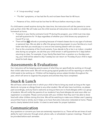- A "croup-sounding" cough
- "Flu-like" symptoms, or has had the flu and not been fever-free for 48 hours
- Presence of lice, child must be lice-free for 48 hours before returning to class.

If a child seems unwell anytime during the class time, the instructors will call the parents to come pick up their child. We will make sure the child receives all instructions to be able to complete any homework at home.

- If anyone in your family contracts Covid-19 during this program, your child must miss class and self-quarantine for 14 days regardless of whether your child shows any symptoms of Covid-19 or not.
- There will be **NO** refunds or prorating because of missed classes due to any type of sickness or personal trips. We are able to offer this group-tutoring program to your families at a much lower rate than you would pay in a one-on-one tutoring session with our tutors.
- Due to the uncertainty of the Covid variants, if you decide to fly or be in an indoor, crowded area during our program, we ask that your child remain in self-quarantine for 3 days before returning to class. For example, if your family flies back from a vacation on a Sunday evening, your child will be asked to skip Tuesday but can return on Thursday (if your child is registered for both days).

### Assessments & Evaluations

Our instructors will be keeping parents aware of what they can specifically be working on through their child's take-home work. We will not be giving typical grades but will be reporting on what the child needs to be working on. Children will be keeping various subject binders throughout the year, which will serve to organize the projects and activities they have completed.

### Snack & Lunch

We will have a short snack time in which your child is free to bring any snack as long as the ingredients do not pose an allergy threat to any other student. We will also have lunchtime, so please pack accordingly, and any food is welcome as long as there are no food allergies within our group of students. We will notify the parents of our students if any food allergies do exist soon after our registration is complete. Please communicate with your children that they won't be able to share food with other children during this time. We will be watching to make sure children aren't passing around their food or drinks, but it helps us to have that extra instruction reiterated at home. Please send a clearly labeled drink bottle. It is best to send water for proper hydration.

### Communication

Any questions or concerns you have are extremely important to us. There will be set times of availability for each instructor through email, phone calls, or scheduled in-person meetings. These will be provided before each semester.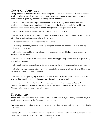### **Code of Conduct**

- Being enrolled in Happy Hearts Homeschool program, I agree to conduct myself in ways that honor God and others in speech, conduct, and outward expressions. I agree to model desirable social behaviors and to guide my children in following Biblical standards.

- I will respect the beliefs and scriptural foundation with which Happy Hearts Homeschool was established, and I agree to their policies and requirements. I will be responsible for my children and expect them to respect Happy Hearts Homeschool policies and requirements as well.

- I will teach my children to respect the facility and leave it cleaner than we found it.

- I will teach my children to be a blessing to their classmates, teachers, and surroundings and not to be a distraction by being discourteous, late, or ill mannered.

- I will teach my children to respect all adults and students.

- I will be respectful of any scriptural teachings and prayers led by the teachers and will expect my children to do the same.

- I will look for opportunities to help others and encourage others with kind words and expect my children to do the same.

- I will refrain from: using nicotine products or alcohol, uttering profanity, or possessing weapons of any kind while on campus.

- I will model moral behavior defined by Scripture, and my children will be responsible to do the same.

- I will refrain from conversations that are not appropriate for all ages and will expect my children to be responsible for their conversations as well.

- I will refrain from displaying any offensive materials (i.e. books, literature, flyers, posters, videos, etc.), and my children will refrain from displaying objectionable materials as well.

- My children and I will consistently exhibit self-control, even in difficult situations. Above all, I agree to demonstrate behavior pleasing to God and to reflect the uncompromising Biblical standards and Christian values held by Happy Hearts Homeschool.

# Discipline

If there should be a violation of the Policies or Code of Conduct by you or any members of your family, please be aware of the following consequences.

First Offense - You and possibly your children will be asked to meet with the instructors or leadership team.

Second Offense - Your family may be asked to leave, and your enrollment with our program may be revoked. Future applications to return will also be denied.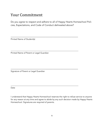### Your Commitment

Do you agree to respect and adhere to all of Happy Hearts Homeschool Policies, Expectations, and Code of Conduct delineated above?

\_\_\_\_\_\_\_\_\_\_\_\_\_\_\_\_\_\_\_\_\_\_\_\_\_\_\_\_\_\_\_\_\_\_\_\_\_\_\_\_\_\_\_\_\_\_\_\_\_\_

\_\_\_\_\_\_\_\_\_\_\_\_\_\_\_\_\_\_\_\_\_\_\_\_\_\_\_\_\_\_\_\_\_\_\_\_\_\_\_\_\_\_\_\_\_\_\_\_\_\_\_\_\_\_\_\_\_\_\_\_\_\_\_\_\_\_\_

\_\_\_\_\_\_\_\_\_\_\_\_\_\_\_\_\_\_\_\_\_\_\_\_\_\_\_\_\_\_\_\_\_\_\_\_\_\_\_\_\_\_\_\_\_\_\_\_\_\_

\_\_\_\_\_\_\_\_\_\_\_\_\_\_\_\_\_\_\_\_\_\_\_\_\_\_\_\_\_\_\_\_\_\_\_\_\_\_\_\_\_\_\_\_\_\_\_\_\_\_\_\_\_\_\_\_\_\_\_\_\_\_\_\_\_\_\_

Printed Name of Student(s)

Printed Name of Parent or Legal Guardian

Signature of Parent or Legal Guardian

Date

I understand that Happy Hearts Homeschool reserves the right to refuse service to anyone for any reason at any time and agree to abide by any such decision made by Happy Hearts Homeschool. Signatures are required of parents.